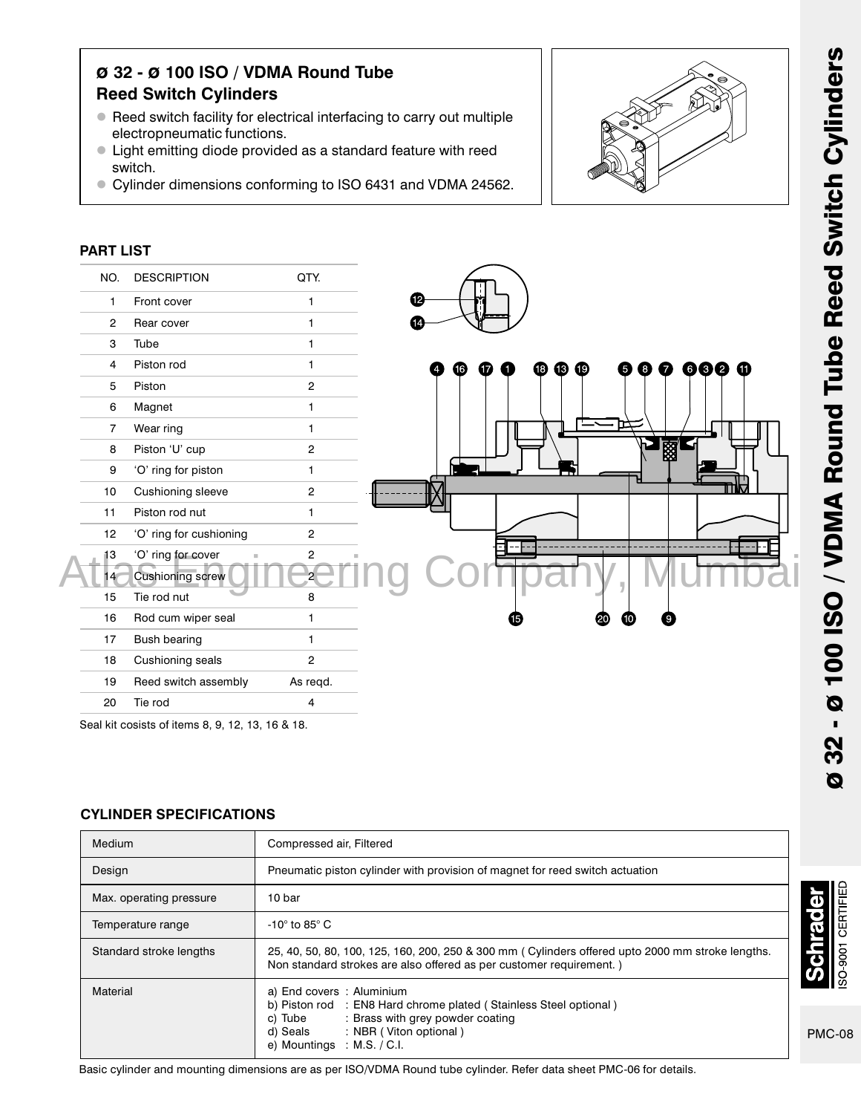# ø 32 - ø 100 ISO / VDMA Round Tube Reed Switch Cylinders

- Reed switch facility for electrical interfacing to carry out multiple electropneumatic functions.
- Light emitting diode provided as a standard feature with reed switch.
- Cylinder dimensions conforming to ISO 6431 and VDMA 24562.



### PART LIST



Seal kit cosists of items 8, 9, 12, 13, 16 & 18.

## CYLINDER SPECIFICATIONS

| Medium                  | Compressed air, Filtered                                                                                                                                                                                   |  |  |  |
|-------------------------|------------------------------------------------------------------------------------------------------------------------------------------------------------------------------------------------------------|--|--|--|
| Design                  | Pneumatic piston cylinder with provision of magnet for reed switch actuation                                                                                                                               |  |  |  |
| Max. operating pressure | 10 bar                                                                                                                                                                                                     |  |  |  |
| Temperature range       | -10 $^{\circ}$ to 85 $^{\circ}$ C                                                                                                                                                                          |  |  |  |
| Standard stroke lengths | 25, 40, 50, 80, 100, 125, 160, 200, 250 & 300 mm (Cylinders offered upto 2000 mm stroke lengths.<br>Non standard strokes are also offered as per customer requirement.)                                    |  |  |  |
| Material                | a) End covers: Aluminium<br>b) Piston rod : EN8 Hard chrome plated (Stainless Steel optional)<br>c) Tube : Brass with grey powder coating<br>d) Seals : NBR (Viton optional)<br>e) Mountings : M.S. / C.I. |  |  |  |

Basic cylinder and mounting dimensions are as per ISO/VDMA Round tube cylinder. Refer data sheet PMC-06 for details.

**SO-9001 CERTIFIED** 

**reppa** 

٦J